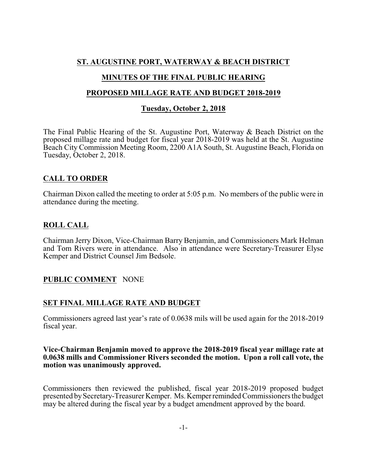## **ST. AUGUSTINE PORT, WATERWAY & BEACH DISTRICT**

## **MINUTES OF THE FINAL PUBLIC HEARING**

#### **PROPOSED MILLAGE RATE AND BUDGET 2018-2019**

## **Tuesday, October 2, 2018**

The Final Public Hearing of the St. Augustine Port, Waterway & Beach District on the proposed millage rate and budget for fiscal year 2018-2019 was held at the St. Augustine Beach City Commission Meeting Room, 2200 A1A South, St. Augustine Beach, Florida on Tuesday, October 2, 2018.

## **CALL TO ORDER**

Chairman Dixon called the meeting to order at 5:05 p.m. No members of the public were in attendance during the meeting.

## **ROLL CALL**

Chairman Jerry Dixon, Vice-Chairman Barry Benjamin, and Commissioners Mark Helman and Tom Rivers were in attendance. Also in attendance were Secretary-Treasurer Elyse Kemper and District Counsel Jim Bedsole.

# **PUBLIC COMMENT** NONE

#### **SET FINAL MILLAGE RATE AND BUDGET**

Commissioners agreed last year's rate of 0.0638 mils will be used again for the 2018-2019 fiscal year.

#### **Vice-Chairman Benjamin moved to approve the 2018-2019 fiscal year millage rate at 0.0638 mills and Commissioner Rivers seconded the motion. Upon a roll call vote, the motion was unanimously approved.**

Commissioners then reviewed the published, fiscal year 2018-2019 proposed budget presented bySecretary-Treasurer Kemper. Ms.KemperremindedCommissioners the budget may be altered during the fiscal year by a budget amendment approved by the board.